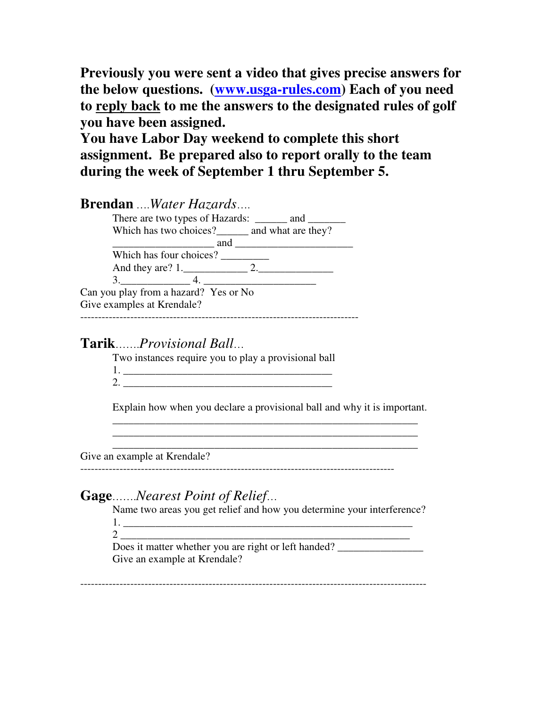**Previously you were sent a video that gives precise answers for the below questions. (www.usga-rules.com) Each of you need to reply back to me the answers to the designated rules of golf you have been assigned.**

**You have Labor Day weekend to complete this short assignment. Be prepared also to report orally to the team during the week of September 1 thru September 5.**

| <b>Brendan</b> Water Hazards                    |     |
|-------------------------------------------------|-----|
| There are two types of Hazards: _____ and _____ |     |
| Which has two choices?______ and what are they? |     |
|                                                 | and |
| Which has four choices?                         |     |
|                                                 |     |
| 3.4.                                            |     |
| Can you play from a hazard? Yes or No           |     |
| Give examples at Krendale?                      |     |
|                                                 |     |

## **Tarik**…….*Provisional Ball*…

Two instances require you to play a provisional ball

| ↗ |  |
|---|--|

Explain how when you declare a provisional ball and why it is important.

\_\_\_\_\_\_\_\_\_\_\_\_\_\_\_\_\_\_\_\_\_\_\_\_\_\_\_\_\_\_\_\_\_\_\_\_\_\_\_\_\_\_\_\_\_\_\_\_\_\_\_\_\_\_\_\_\_ \_\_\_\_\_\_\_\_\_\_\_\_\_\_\_\_\_\_\_\_\_\_\_\_\_\_\_\_\_\_\_\_\_\_\_\_\_\_\_\_\_\_\_\_\_\_\_\_\_\_\_\_\_\_\_\_\_ \_\_\_\_\_\_\_\_\_\_\_\_\_\_\_\_\_\_\_\_\_\_\_\_\_\_\_\_\_\_\_\_\_\_\_\_\_\_\_\_\_\_\_\_\_\_\_\_\_\_\_\_\_\_\_\_\_

Give an example at Krendale?

----------------------------------------------------------------------------------------

# **Gage**…….*Nearest Point of Relief*…

Name two areas you get relief and how you determine your interference? 1. \_\_\_\_\_\_\_\_\_\_\_\_\_\_\_\_\_\_\_\_\_\_\_\_\_\_\_\_\_\_\_\_\_\_\_\_\_\_\_\_\_\_\_\_\_\_\_\_\_\_\_\_\_\_

2 \_\_\_\_\_\_\_\_\_\_\_\_\_\_\_\_\_\_\_\_\_\_\_\_\_\_\_\_\_\_\_\_\_\_\_\_\_\_\_\_\_\_\_\_\_\_\_\_\_\_\_\_\_\_

Does it matter whether you are right or left handed? Give an example at Krendale?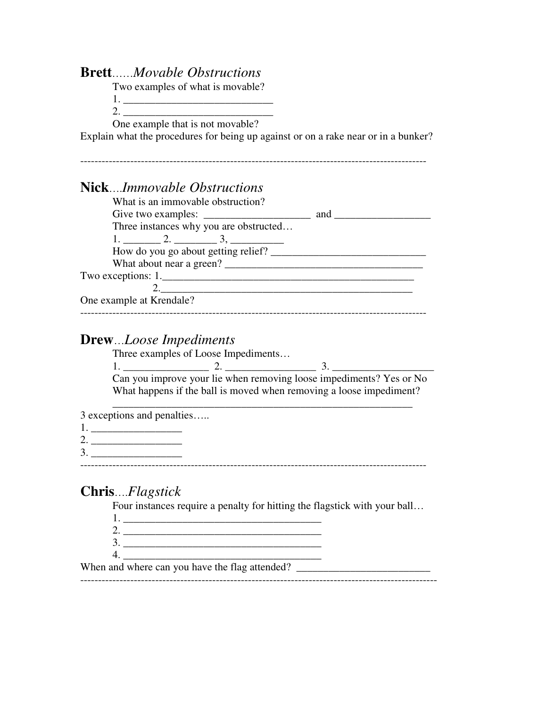#### **Brett**……*Movable Obstructions*

Two examples of what is movable?

1.

2.  $\blacksquare$ 

One example that is not movable?

Explain what the procedures for being up against or on a rake near or in a bunker?

-------------------------------------------------------------------------------------------------

### **Nick**….*Immovable Obstructions*

| What is an immovable obstruction?      |     |
|----------------------------------------|-----|
| Give two examples:                     | and |
| Three instances why you are obstructed |     |
|                                        |     |
| How do you go about getting relief?    |     |
| What about near a green?               |     |
|                                        |     |
|                                        |     |
| One example at Krendale?               |     |
|                                        |     |

#### **Drew**…*Loose Impediments*

Three examples of Loose Impediments…

 $1.$   $2.$   $2.$   $3.$   $3.$ Can you improve your lie when removing loose impediments? Yes or No What happens if the ball is moved when removing a loose impediment?

\_\_\_\_\_\_\_\_\_\_\_\_\_\_\_\_\_\_\_\_\_\_\_\_\_\_\_\_\_\_\_\_\_\_\_\_\_\_\_\_\_\_\_\_\_\_\_\_\_\_\_\_\_\_\_\_

3 exceptions and penalties…..

- 1. \_\_\_\_\_\_\_\_\_\_\_\_\_\_\_\_\_
- 2. \_\_\_\_\_\_\_\_\_\_\_\_\_\_\_\_\_
- 3. \_\_\_\_\_\_\_\_\_\_\_\_\_\_\_\_\_ -------------------------------------------------------------------------------------------------

**Chris**….*Flagstick*

Four instances require a penalty for hitting the flagstick with your ball…

- 1. \_\_\_\_\_\_\_\_\_\_\_\_\_\_\_\_\_\_\_\_\_\_\_\_\_\_\_\_\_\_\_\_\_\_\_\_\_ 2. \_\_\_\_\_\_\_\_\_\_\_\_\_\_\_\_\_\_\_\_\_\_\_\_\_\_\_\_\_\_\_\_\_\_\_\_\_
- 3. \_\_\_\_\_\_\_\_\_\_\_\_\_\_\_\_\_\_\_\_\_\_\_\_\_\_\_\_\_\_\_\_\_\_\_\_\_ 4. \_\_\_\_\_\_\_\_\_\_\_\_\_\_\_\_\_\_\_\_\_\_\_\_\_\_\_\_\_\_\_\_\_\_\_\_\_

When and where can you have the flag attended?

----------------------------------------------------------------------------------------------------